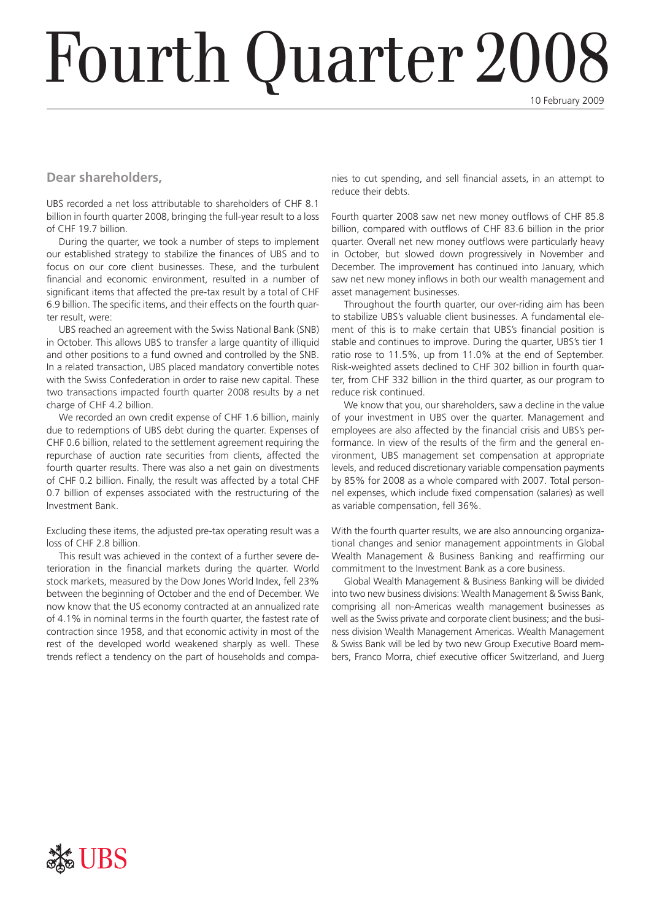# Fourth Quarter 2008

10 February 2009

## **Dear shareholders,**

UBS recorded a net loss attributable to shareholders of CHF 8.1 billion in fourth quarter 2008, bringing the full-year result to a loss of CHF 19.7 billion.

During the quarter, we took a number of steps to implement our established strategy to stabilize the finances of UBS and to focus on our core client businesses. These, and the turbulent financial and economic environment, resulted in a number of significant items that affected the pre-tax result by a total of CHF 6.9 billion. The specific items, and their effects on the fourth quarter result, were:

UBS reached an agreement with the Swiss National Bank (SNB) in October. This allows UBS to transfer a large quantity of illiquid and other positions to a fund owned and controlled by the SNB. In a related transaction, UBS placed mandatory convertible notes with the Swiss Confederation in order to raise new capital. These two transactions impacted fourth quarter 2008 results by a net charge of CHF 4.2 billion.

We recorded an own credit expense of CHF 1.6 billion, mainly due to redemptions of UBS debt during the quarter. Expenses of CHF 0.6 billion, related to the settlement agreement requiring the repurchase of auction rate securities from clients, affected the fourth quarter results. There was also a net gain on divestments of CHF 0.2 billion. Finally, the result was affected by a total CHF 0.7 billion of expenses associated with the restructuring of the Investment Bank.

Excluding these items, the adjusted pre-tax operating result was a loss of CHF 2.8 billion.

This result was achieved in the context of a further severe deterioration in the financial markets during the quarter. World stock markets, measured by the Dow Jones World Index, fell 23% between the beginning of October and the end of December. We now know that the US economy contracted at an annualized rate of 4.1% in nominal terms in the fourth quarter, the fastest rate of contraction since 1958, and that economic activity in most of the rest of the developed world weakened sharply as well. These trends reflect a tendency on the part of households and companies to cut spending, and sell financial assets, in an attempt to reduce their debts.

Fourth quarter 2008 saw net new money outflows of CHF 85.8 billion, compared with outflows of CHF 83.6 billion in the prior quarter. Overall net new money outflows were particularly heavy in October, but slowed down progressively in November and December. The improvement has continued into January, which saw net new money inflows in both our wealth management and asset management businesses.

Throughout the fourth quarter, our over-riding aim has been to stabilize UBS's valuable client businesses. A fundamental element of this is to make certain that UBS's financial position is stable and continues to improve. During the quarter, UBS's tier 1 ratio rose to 11.5%, up from 11.0% at the end of September. Risk-weighted assets declined to CHF 302 billion in fourth quarter, from CHF 332 billion in the third quarter, as our program to reduce risk continued.

We know that you, our shareholders, saw a decline in the value of your investment in UBS over the quarter. Management and employees are also affected by the financial crisis and UBS's performance. In view of the results of the firm and the general environment, UBS management set compensation at appropriate levels, and reduced discretionary variable compensation payments by 85% for 2008 as a whole compared with 2007. Total personnel expenses, which include fixed compensation (salaries) as well as variable compensation, fell 36%.

With the fourth quarter results, we are also announcing organizational changes and senior management appointments in Global Wealth Management & Business Banking and reaffirming our commitment to the Investment Bank as a core business.

Global Wealth Management & Business Banking will be divided into two new business divisions: Wealth Management & Swiss Bank, comprising all non-Americas wealth management businesses as well as the Swiss private and corporate client business; and the business division Wealth Management Americas. Wealth Management & Swiss Bank will be led by two new Group Executive Board members, Franco Morra, chief executive officer Switzerland, and Juerg

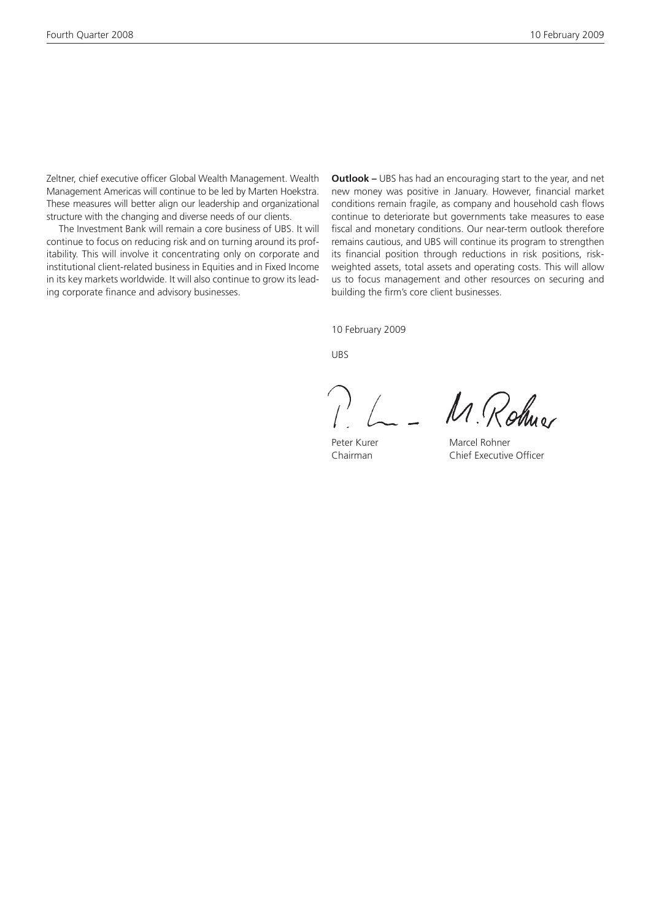Zeltner, chief executive officer Global Wealth Management. Wealth Management Americas will continue to be led by Marten Hoekstra. These measures will better align our leadership and organizational structure with the changing and diverse needs of our clients.

The Investment Bank will remain a core business of UBS. It will continue to focus on reducing risk and on turning around its profitability. This will involve it concentrating only on corporate and institutional client-related business in Equities and in Fixed Income in its key markets worldwide. It will also continue to grow its leading corporate finance and advisory businesses.

**Outlook –** UBS has had an encouraging start to the year, and net new money was positive in January. However, financial market conditions remain fragile, as company and household cash flows continue to deteriorate but governments take measures to ease fiscal and monetary conditions. Our near-term outlook therefore remains cautious, and UBS will continue its program to strengthen its financial position through reductions in risk positions, riskweighted assets, total assets and operating costs. This will allow us to focus management and other resources on securing and building the firm's core client businesses.

10 February 2009

UBS

M. Rohno

Peter Kurer Marcel Rohner

Chairman Chief Executive Officer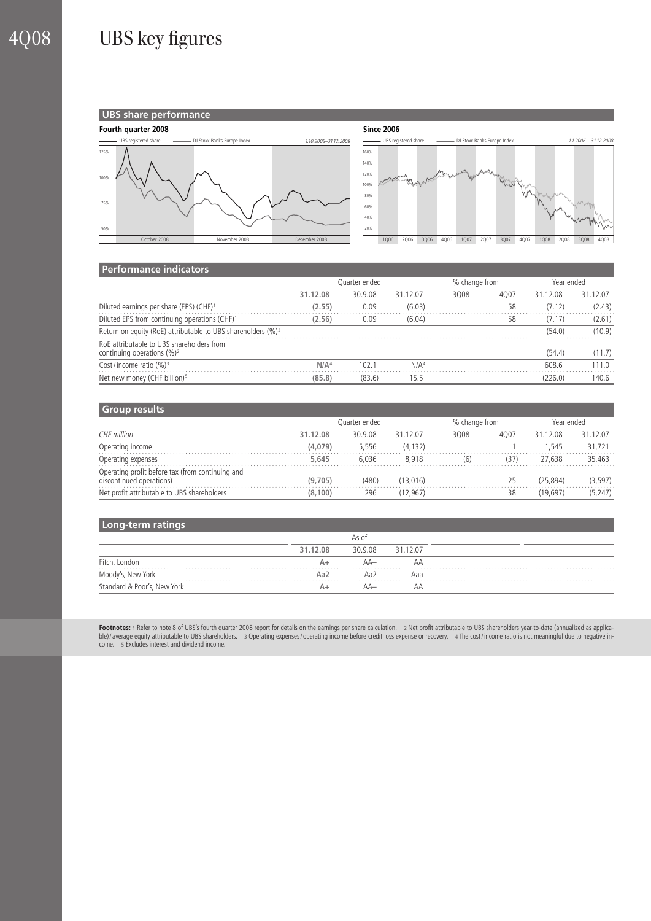# 4Q08 UBS key figures

### **UBS share performance**





#### **Performance indicators**

|                                                                             | Quarter ended    |         |                  | % change from |      | Year ended |          |  |
|-----------------------------------------------------------------------------|------------------|---------|------------------|---------------|------|------------|----------|--|
|                                                                             | 31.12.08         | 30.9.08 | 31.12.07         | 3008          | 4007 | 31.12.08   | 31.12.07 |  |
| Diluted earnings per share (EPS) (CHF) <sup>1</sup>                         | (2.55)           | 0.09    | (6.03)           |               | 58   | (7.12)     | (2.43)   |  |
| Diluted EPS from continuing operations (CHF) <sup>1</sup>                   | (2.56)           | 0.09    | (6.04)           |               | 58   | (7.17)     | (2.61)   |  |
| Return on equity (RoE) attributable to UBS shareholders (%) <sup>2</sup>    |                  |         |                  |               |      | (54.0)     | (10.9)   |  |
| RoE attributable to UBS shareholders from<br>continuing operations $(\%)^2$ |                  |         |                  |               |      | (54.4)     | (11.7)   |  |
| Cost/income ratio $(%)^3$                                                   | N/A <sup>4</sup> | 102.1   | N/A <sup>4</sup> |               |      | 608.6      | 111.0    |  |
| Net new money (CHF billion) <sup>5</sup>                                    | (85.8)           | (83.6)  | 15.5             |               |      | (226.0)    | 140.6    |  |

#### **Group results**

|                                                                              | Ouarter ended |         |          | % change from |      | Year ended |          |
|------------------------------------------------------------------------------|---------------|---------|----------|---------------|------|------------|----------|
| CHF million                                                                  | 31.12.08      | 30.9.08 | 31.12.07 | 3008          | 4007 | 31.12.08   | 31.12.07 |
| Operating income                                                             | (4.079)       | 5.556   | (4, 132) |               |      | 1.545      | 31.721   |
| Operating expenses                                                           | 5,645         | 6.036   | 8.918    | (6)           | (37) | 27.638     | 35,463   |
| Operating profit before tax (from continuing and<br>discontinued operations) | (9.705)       | (480)   | (13.016) |               | 25   | (25.894)   | (3, 597) |
| Net profit attributable to UBS shareholders                                  | (8, 100)      | 296     | (12.967) |               | 38   | (19.697)   | (5, 247) |

#### **Long-term ratings**

|                             |          | As of   |          |  |
|-----------------------------|----------|---------|----------|--|
|                             | 31.12.08 | 30.9.08 | 31.12.07 |  |
| Fitch, London               |          | AA-     | АΑ       |  |
| Moody's, New York           | Aa2      | Aa2     | Aaa      |  |
| Standard & Poor's, New York |          | AA—     | АΑ       |  |

**Footnotes:** 1 Refer to note 8 of UBS's fourth quarter 2008 report for details on the earnings per share calculation. 2 Net profit attributable to UBS shareholders year-to-date (annualized as applica-<br>ble)/average equity a